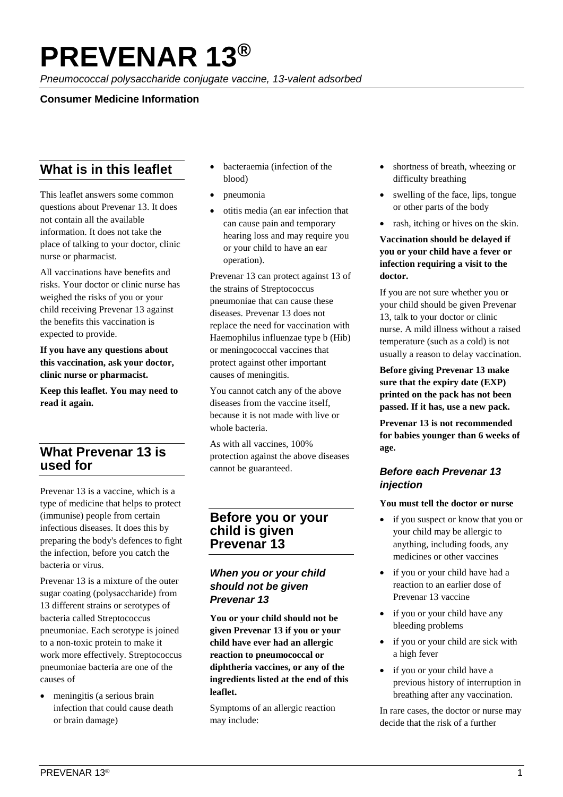# **PREVENAR 13®**

*Pneumococcal polysaccharide conjugate vaccine, 13-valent adsorbed*

## **Consumer Medicine Information**

# **What is in this leaflet**

This leaflet answers some common questions about Prevenar 13. It does not contain all the available information. It does not take the place of talking to your doctor, clinic nurse or pharmacist.

All vaccinations have benefits and risks. Your doctor or clinic nurse has weighed the risks of you or your child receiving Prevenar 13 against the benefits this vaccination is expected to provide.

**If you have any questions about this vaccination, ask your doctor, clinic nurse or pharmacist.**

**Keep this leaflet. You may need to read it again.**

# **What Prevenar 13 is used for**

Prevenar 13 is a vaccine, which is a type of medicine that helps to protect (immunise) people from certain infectious diseases. It does this by preparing the body's defences to fight the infection, before you catch the bacteria or virus.

Prevenar 13 is a mixture of the outer sugar coating (polysaccharide) from 13 different strains or serotypes of bacteria called Streptococcus pneumoniae. Each serotype is joined to a non-toxic protein to make it work more effectively. Streptococcus pneumoniae bacteria are one of the causes of

• meningitis (a serious brain infection that could cause death or brain damage)

- bacteraemia (infection of the blood)
- pneumonia
- otitis media (an ear infection that can cause pain and temporary hearing loss and may require you or your child to have an ear operation).

Prevenar 13 can protect against 13 of the strains of Streptococcus pneumoniae that can cause these diseases. Prevenar 13 does not replace the need for vaccination with Haemophilus influenzae type b (Hib) or meningococcal vaccines that protect against other important causes of meningitis.

You cannot catch any of the above diseases from the vaccine itself, because it is not made with live or whole bacteria.

As with all vaccines, 100% protection against the above diseases cannot be guaranteed.

# **Before you or your child is given Prevenar 13**

# *When you or your child should not be given Prevenar 13*

**You or your child should not be given Prevenar 13 if you or your child have ever had an allergic reaction to pneumococcal or diphtheria vaccines, or any of the ingredients listed at the end of this leaflet.**

Symptoms of an allergic reaction may include:

- shortness of breath, wheezing or difficulty breathing
- swelling of the face, lips, tongue or other parts of the body
- rash, itching or hives on the skin.

### **Vaccination should be delayed if you or your child have a fever or infection requiring a visit to the doctor.**

If you are not sure whether you or your child should be given Prevenar 13, talk to your doctor or clinic nurse. A mild illness without a raised temperature (such as a cold) is not usually a reason to delay vaccination.

**Before giving Prevenar 13 make sure that the expiry date (EXP) printed on the pack has not been passed. If it has, use a new pack.**

**Prevenar 13 is not recommended for babies younger than 6 weeks of age.** 

## *Before each Prevenar 13 injection*

#### **You must tell the doctor or nurse**

- if you suspect or know that you or your child may be allergic to anything, including foods, any medicines or other vaccines
- if you or your child have had a reaction to an earlier dose of Prevenar 13 vaccine
- if you or your child have any bleeding problems
- if you or your child are sick with a high fever
- if you or your child have a previous history of interruption in breathing after any vaccination.

In rare cases, the doctor or nurse may decide that the risk of a further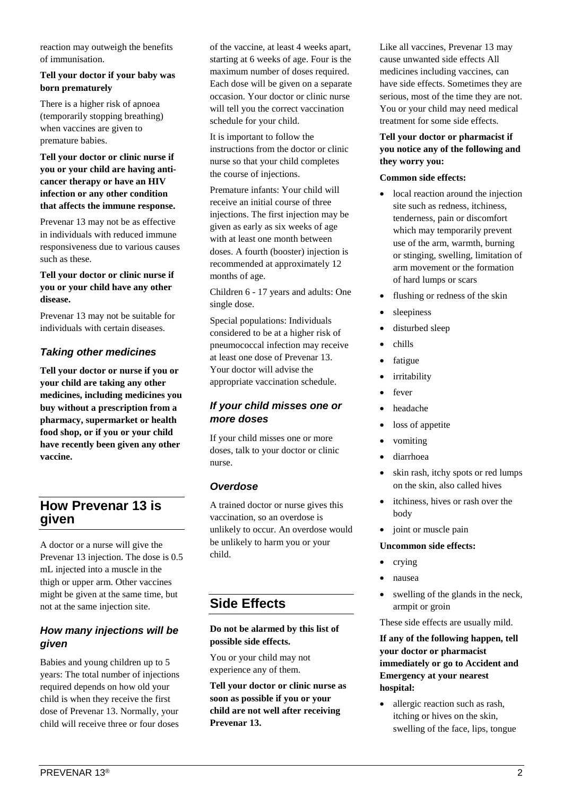reaction may outweigh the benefits of immunisation.

## **Tell your doctor if your baby was born prematurely**

There is a higher risk of apnoea (temporarily stopping breathing) when vaccines are given to premature babies.

**Tell your doctor or clinic nurse if you or your child are having anticancer therapy or have an HIV infection or any other condition that affects the immune response.**

Prevenar 13 may not be as effective in individuals with reduced immune responsiveness due to various causes such as these.

#### **Tell your doctor or clinic nurse if you or your child have any other disease.**

Prevenar 13 may not be suitable for individuals with certain diseases.

# *Taking other medicines*

**Tell your doctor or nurse if you or your child are taking any other medicines, including medicines you buy without a prescription from a pharmacy, supermarket or health food shop, or if you or your child have recently been given any other vaccine.**

# **How Prevenar 13 is given**

A doctor or a nurse will give the Prevenar 13 injection. The dose is 0.5 mL injected into a muscle in the thigh or upper arm. Other vaccines might be given at the same time, but not at the same injection site.

## *How many injections will be given*

Babies and young children up to 5 years: The total number of injections required depends on how old your child is when they receive the first dose of Prevenar 13. Normally, your child will receive three or four doses

of the vaccine, at least 4 weeks apart, starting at 6 weeks of age. Four is the maximum number of doses required. Each dose will be given on a separate occasion. Your doctor or clinic nurse will tell you the correct vaccination schedule for your child.

It is important to follow the instructions from the doctor or clinic nurse so that your child completes the course of injections.

Premature infants: Your child will receive an initial course of three injections. The first injection may be given as early as six weeks of age with at least one month between doses. A fourth (booster) injection is recommended at approximately 12 months of age.

Children 6 - 17 years and adults: One single dose.

Special populations: Individuals considered to be at a higher risk of pneumococcal infection may receive at least one dose of Prevenar 13. Your doctor will advise the appropriate vaccination schedule.

# *If your child misses one or more doses*

If your child misses one or more doses, talk to your doctor or clinic nurse.

## *Overdose*

A trained doctor or nurse gives this vaccination, so an overdose is unlikely to occur. An overdose would be unlikely to harm you or your child.

# **Side Effects**

#### **Do not be alarmed by this list of possible side effects.**

You or your child may not experience any of them.

**Tell your doctor or clinic nurse as soon as possible if you or your child are not well after receiving Prevenar 13.**

Like all vaccines, Prevenar 13 may cause unwanted side effects All medicines including vaccines, can have side effects. Sometimes they are serious, most of the time they are not. You or your child may need medical treatment for some side effects.

#### **Tell your doctor or pharmacist if you notice any of the following and they worry you:**

#### **Common side effects:**

- local reaction around the injection site such as redness, itchiness, tenderness, pain or discomfort which may temporarily prevent use of the arm, warmth, burning or stinging, swelling, limitation of arm movement or the formation of hard lumps or scars
- flushing or redness of the skin
- sleepiness
- disturbed sleep
- chills
- fatigue
- irritability
- fever
- headache
- loss of appetite
- vomiting
- diarrhoea
- skin rash, itchy spots or red lumps on the skin, also called hives
- itchiness, hives or rash over the body
- joint or muscle pain

#### **Uncommon side effects:**

- crying
- nausea
- swelling of the glands in the neck, armpit or groin

These side effects are usually mild.

**If any of the following happen, tell your doctor or pharmacist immediately or go to Accident and Emergency at your nearest hospital:**

• allergic reaction such as rash, itching or hives on the skin, swelling of the face, lips, tongue